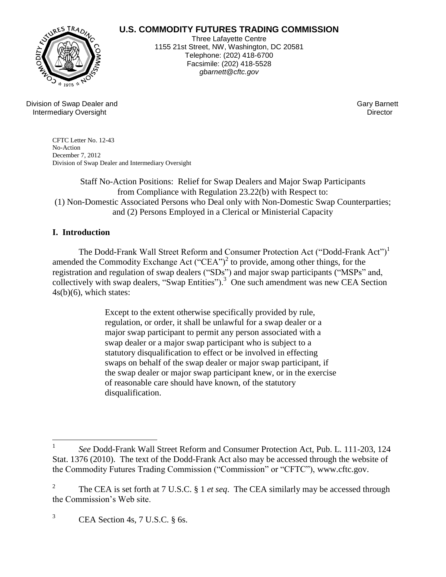# **U.S. COMMODITY FUTURES TRADING COMMISSION**



Three Lafayette Centre 1155 21st Street, NW, Washington, DC 20581 Telephone: (202) 418-6700 Facsimile: (202) 418-5528 *gbarnett@cftc.gov*

Division of Swap Dealer and Gary Barnett (Cary Barnett ) and Gary Barnett (Gary Barnett ) and Gary Barnett (Ga<br>Thermediary Oversight (Gary Barnett ) and Gary Barnett (Gary Barnett ) and Gary Barnett (Gary Barnett ) and G Intermediary Oversight

CFTC Letter No. 12-43 No-Action December 7, 2012 Division of Swap Dealer and Intermediary Oversight

Staff No-Action Positions: Relief for Swap Dealers and Major Swap Participants from Compliance with Regulation 23.22(b) with Respect to: (1) Non-Domestic Associated Persons who Deal only with Non-Domestic Swap Counterparties; and (2) Persons Employed in a Clerical or Ministerial Capacity

## **I. Introduction**

The Dodd-Frank Wall Street Reform and Consumer Protection Act ("Dodd-Frank Act")<sup>1</sup> amended the Commodity Exchange Act  $("CEA")^2$  to provide, among other things, for the registration and regulation of swap dealers ("SDs") and major swap participants ("MSPs" and, collectively with swap dealers, "Swap Entities").<sup>3</sup> One such amendment was new CEA Section  $4s(b)(6)$ , which states:

> Except to the extent otherwise specifically provided by rule, regulation, or order, it shall be unlawful for a swap dealer or a major swap participant to permit any person associated with a swap dealer or a major swap participant who is subject to a statutory disqualification to effect or be involved in effecting swaps on behalf of the swap dealer or major swap participant, if the swap dealer or major swap participant knew, or in the exercise of reasonable care should have known, of the statutory disqualification.

 $\frac{1}{1}$ *See* Dodd-Frank Wall Street Reform and Consumer Protection Act, Pub. L. 111-203, 124 Stat. 1376 (2010). The text of the Dodd-Frank Act also may be accessed through the website of the Commodity Futures Trading Commission ("Commission" or "CFTC"), www.cftc.gov.

<sup>2</sup> The CEA is set forth at 7 U.S.C. § 1 *et seq*. The CEA similarly may be accessed through the Commission's Web site.

 $3$  CEA Section 4s, 7 U.S.C. § 6s.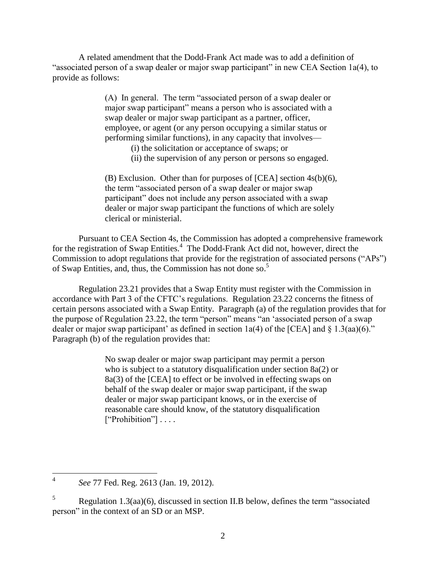A related amendment that the Dodd-Frank Act made was to add a definition of "associated person of a swap dealer or major swap participant" in new CEA Section 1a(4), to provide as follows:

> (A) In general. The term "associated person of a swap dealer or major swap participant" means a person who is associated with a swap dealer or major swap participant as a partner, officer, employee, or agent (or any person occupying a similar status or performing similar functions), in any capacity that involves—

- (i) the solicitation or acceptance of swaps; or
- (ii) the supervision of any person or persons so engaged.

(B) Exclusion. Other than for purposes of [CEA] section 4s(b)(6), the term "associated person of a swap dealer or major swap participant" does not include any person associated with a swap dealer or major swap participant the functions of which are solely clerical or ministerial.

Pursuant to CEA Section 4s, the Commission has adopted a comprehensive framework for the registration of Swap Entities.<sup>4</sup> The Dodd-Frank Act did not, however, direct the Commission to adopt regulations that provide for the registration of associated persons ("APs") of Swap Entities, and, thus, the Commission has not done so. 5

Regulation 23.21 provides that a Swap Entity must register with the Commission in accordance with Part 3 of the CFTC's regulations. Regulation 23.22 concerns the fitness of certain persons associated with a Swap Entity. Paragraph (a) of the regulation provides that for the purpose of Regulation 23.22, the term "person" means "an 'associated person of a swap dealer or major swap participant' as defined in section 1a(4) of the [CEA] and  $\frac{8}{3}$  1.3(aa)(6)." Paragraph (b) of the regulation provides that:

> No swap dealer or major swap participant may permit a person who is subject to a statutory disqualification under section 8a(2) or 8a(3) of the [CEA] to effect or be involved in effecting swaps on behalf of the swap dealer or major swap participant, if the swap dealer or major swap participant knows, or in the exercise of reasonable care should know, of the statutory disqualification ["Prohibition"] . . . .

 $\frac{1}{4}$ *See* 77 Fed. Reg. 2613 (Jan. 19, 2012).

 $5$  Regulation 1.3(aa)(6), discussed in section II.B below, defines the term "associated" person" in the context of an SD or an MSP.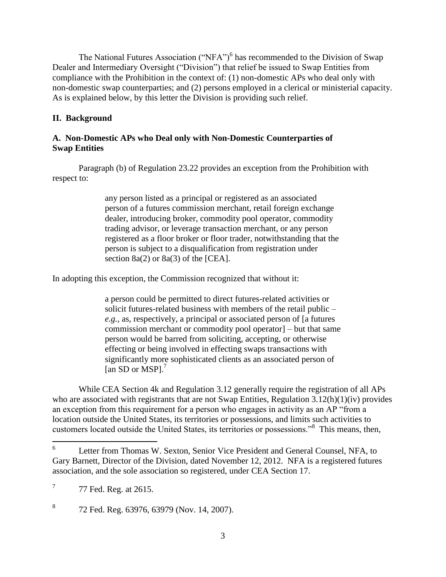The National Futures Association ("NFA")<sup>6</sup> has recommended to the Division of Swap Dealer and Intermediary Oversight ("Division") that relief be issued to Swap Entities from compliance with the Prohibition in the context of: (1) non-domestic APs who deal only with non-domestic swap counterparties; and (2) persons employed in a clerical or ministerial capacity. As is explained below, by this letter the Division is providing such relief.

## **II. Background**

#### **A. Non-Domestic APs who Deal only with Non-Domestic Counterparties of Swap Entities**

Paragraph (b) of Regulation 23.22 provides an exception from the Prohibition with respect to:

> any person listed as a principal or registered as an associated person of a futures commission merchant, retail foreign exchange dealer, introducing broker, commodity pool operator, commodity trading advisor, or leverage transaction merchant, or any person registered as a floor broker or floor trader, notwithstanding that the person is subject to a disqualification from registration under section  $8a(2)$  or  $8a(3)$  of the [CEA].

In adopting this exception, the Commission recognized that without it:

a person could be permitted to direct futures-related activities or solicit futures-related business with members of the retail public – *e.g.,* as, respectively, a principal or associated person of [a futures commission merchant or commodity pool operator] – but that same person would be barred from soliciting, accepting, or otherwise effecting or being involved in effecting swaps transactions with significantly more sophisticated clients as an associated person of [an SD or MSP]. $<sup>7</sup>$ </sup>

While CEA Section 4k and Regulation 3.12 generally require the registration of all APs who are associated with registrants that are not Swap Entities, Regulation 3.12(h)(1)(iv) provides an exception from this requirement for a person who engages in activity as an AP "from a location outside the United States, its territories or possessions, and limits such activities to customers located outside the United States, its territories or possessions."<sup>8</sup> This means, then,

8 72 Fed. Reg. 63976, 63979 (Nov. 14, 2007).

 6 Letter from Thomas W. Sexton, Senior Vice President and General Counsel, NFA, to Gary Barnett, Director of the Division, dated November 12, 2012. NFA is a registered futures association, and the sole association so registered, under CEA Section 17.

<sup>7</sup> 77 Fed. Reg. at 2615.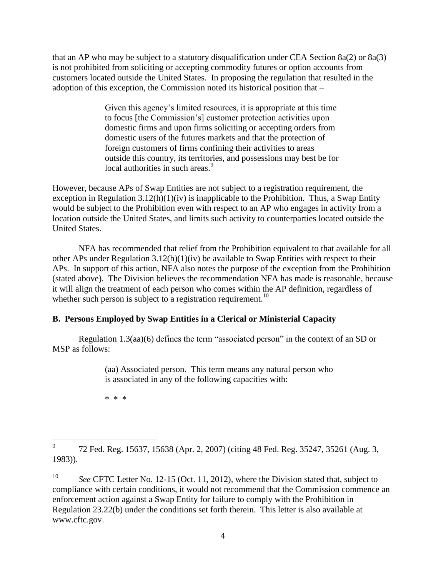that an AP who may be subject to a statutory disqualification under CEA Section 8a(2) or 8a(3) is not prohibited from soliciting or accepting commodity futures or option accounts from customers located outside the United States. In proposing the regulation that resulted in the adoption of this exception, the Commission noted its historical position that –

> Given this agency's limited resources, it is appropriate at this time to focus [the Commission's] customer protection activities upon domestic firms and upon firms soliciting or accepting orders from domestic users of the futures markets and that the protection of foreign customers of firms confining their activities to areas outside this country, its territories, and possessions may best be for local authorities in such areas.<sup>9</sup>

However, because APs of Swap Entities are not subject to a registration requirement, the exception in Regulation  $3.12(h)(1)(iv)$  is inapplicable to the Prohibition. Thus, a Swap Entity would be subject to the Prohibition even with respect to an AP who engages in activity from a location outside the United States, and limits such activity to counterparties located outside the United States.

NFA has recommended that relief from the Prohibition equivalent to that available for all other APs under Regulation 3.12(h)(1)(iv) be available to Swap Entities with respect to their APs. In support of this action, NFA also notes the purpose of the exception from the Prohibition (stated above). The Division believes the recommendation NFA has made is reasonable, because it will align the treatment of each person who comes within the AP definition, regardless of whether such person is subject to a registration requirement.<sup>10</sup>

### **B. Persons Employed by Swap Entities in a Clerical or Ministerial Capacity**

Regulation 1.3(aa)(6) defines the term "associated person" in the context of an SD or MSP as follows:

> (aa) Associated person. This term means any natural person who is associated in any of the following capacities with:

\* \* \*

<sup>—&</sup>lt;br>9 72 Fed. Reg. 15637, 15638 (Apr. 2, 2007) (citing 48 Fed. Reg. 35247, 35261 (Aug. 3, 1983)).

 $10<sup>10</sup>$ See CFTC Letter No. 12-15 (Oct. 11, 2012), where the Division stated that, subject to compliance with certain conditions, it would not recommend that the Commission commence an enforcement action against a Swap Entity for failure to comply with the Prohibition in Regulation 23.22(b) under the conditions set forth therein. This letter is also available at www.cftc.gov.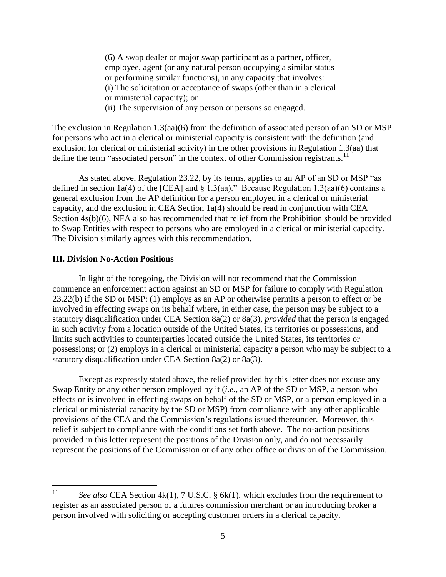(6) A swap dealer or major swap participant as a partner, officer, employee, agent (or any natural person occupying a similar status or performing similar functions), in any capacity that involves: (i) The solicitation or acceptance of swaps (other than in a clerical or ministerial capacity); or (ii) The supervision of any person or persons so engaged.

The exclusion in Regulation 1.3(aa)(6) from the definition of associated person of an SD or MSP for persons who act in a clerical or ministerial capacity is consistent with the definition (and exclusion for clerical or ministerial activity) in the other provisions in Regulation 1.3(aa) that define the term "associated person" in the context of other Commission registrants.<sup>11</sup>

As stated above, Regulation 23.22, by its terms, applies to an AP of an SD or MSP "as defined in section 1a(4) of the [CEA] and § 1.3(aa)." Because Regulation 1.3(aa)(6) contains a general exclusion from the AP definition for a person employed in a clerical or ministerial capacity, and the exclusion in CEA Section 1a(4) should be read in conjunction with CEA Section  $4s(b)(6)$ , NFA also has recommended that relief from the Prohibition should be provided to Swap Entities with respect to persons who are employed in a clerical or ministerial capacity. The Division similarly agrees with this recommendation.

#### **III. Division No-Action Positions**

In light of the foregoing, the Division will not recommend that the Commission commence an enforcement action against an SD or MSP for failure to comply with Regulation 23.22(b) if the SD or MSP: (1) employs as an AP or otherwise permits a person to effect or be involved in effecting swaps on its behalf where, in either case, the person may be subject to a statutory disqualification under CEA Section 8a(2) or 8a(3), *provided* that the person is engaged in such activity from a location outside of the United States, its territories or possessions, and limits such activities to counterparties located outside the United States, its territories or possessions; or (2) employs in a clerical or ministerial capacity a person who may be subject to a statutory disqualification under CEA Section 8a(2) or 8a(3).

Except as expressly stated above, the relief provided by this letter does not excuse any Swap Entity or any other person employed by it (*i.e.,* an AP of the SD or MSP, a person who effects or is involved in effecting swaps on behalf of the SD or MSP, or a person employed in a clerical or ministerial capacity by the SD or MSP) from compliance with any other applicable provisions of the CEA and the Commission's regulations issued thereunder. Moreover, this relief is subject to compliance with the conditions set forth above. The no-action positions provided in this letter represent the positions of the Division only, and do not necessarily represent the positions of the Commission or of any other office or division of the Commission.

 $11$ See also CEA Section 4k(1), 7 U.S.C. § 6k(1), which excludes from the requirement to register as an associated person of a futures commission merchant or an introducing broker a person involved with soliciting or accepting customer orders in a clerical capacity.